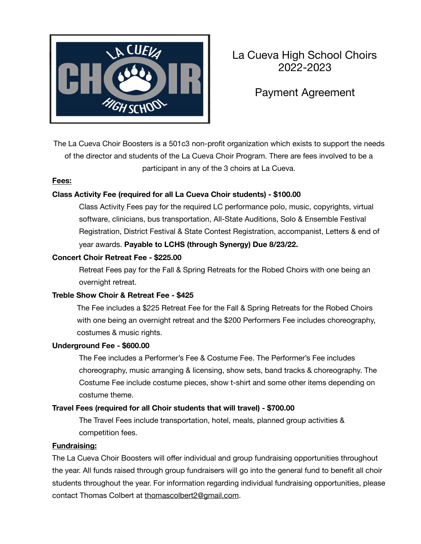

# La Cueva High School Choirs 2022-2023

## Payment Agreement

The La Cueva Choir Boosters is a 501c3 non-profit organization which exists to support the needs of the director and students of the La Cueva Choir Program. There are fees involved to be a participant in any of the 3 choirs at La Cueva.

#### **Fees:**

#### **Class Activity Fee (required for all La Cueva Choir students) - \$100.00**

Class Activity Fees pay for the required LC performance polo, music, copyrights, virtual software, clinicians, bus transportation, All-State Auditions, Solo & Ensemble Festival Registration, District Festival & State Contest Registration, accompanist, Letters & end of year awards. **Payable to LCHS (through Synergy) Due 8/23/22.**

#### **Concert Choir Retreat Fee - \$225.00**

Retreat Fees pay for the Fall & Spring Retreats for the Robed Choirs with one being an overnight retreat.

#### **Treble Show Choir & Retreat Fee - \$425**

The Fee includes a \$225 Retreat Fee for the Fall & Spring Retreats for the Robed Choirs with one being an overnight retreat and the \$200 Performers Fee includes choreography, costumes & music rights.

#### **Underground Fee - \$600.00**

The Fee includes a Performer's Fee & Costume Fee. The Performer's Fee includes choreography, music arranging & licensing, show sets, band tracks & choreography. The Costume Fee include costume pieces, show t-shirt and some other items depending on costume theme.

#### **Travel Fees (required for all Choir students that will travel) - \$700.00**

The Travel Fees include transportation, hotel, meals, planned group activities & competition fees.

#### **Fundraising:**

The La Cueva Choir Boosters will offer individual and group fundraising opportunities throughout the year. All funds raised through group fundraisers will go into the general fund to benefit all choir students throughout the year. For information regarding individual fundraising opportunities, please contact Thomas Colbert at thomascolbert2@gmail.com.